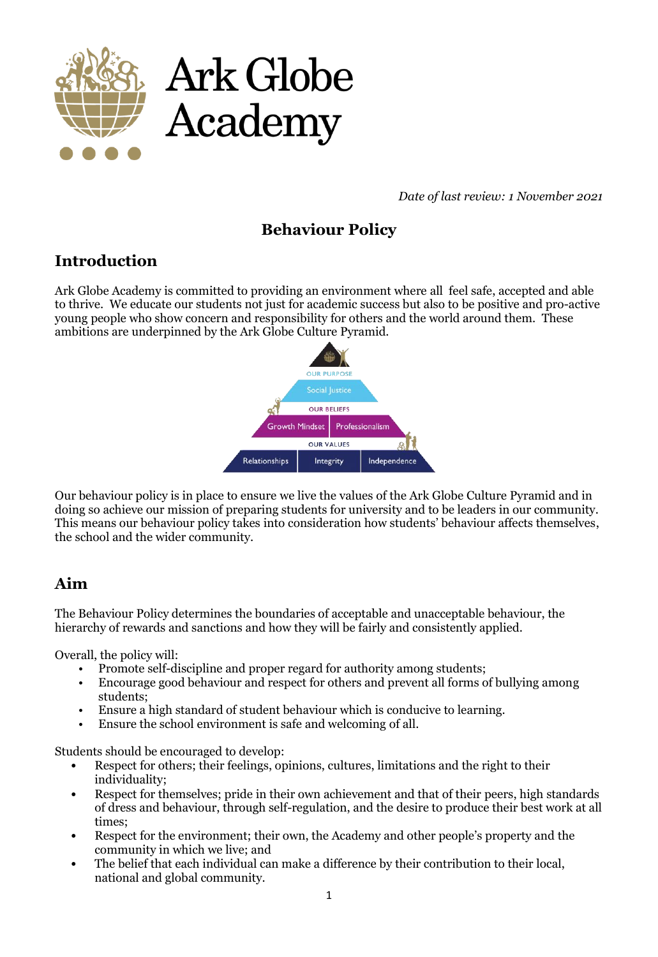

*Date of last review: 1 November 2021*

# **Behaviour Policy**

## **Introduction**

Ark Globe Academy is committed to providing an environment where all feel safe, accepted and able to thrive. We educate our students not just for academic success but also to be positive and pro-active young people who show concern and responsibility for others and the world around them. These ambitions are underpinned by the Ark Globe Culture Pyramid.



Our behaviour policy is in place to ensure we live the values of the Ark Globe Culture Pyramid and in doing so achieve our mission of preparing students for university and to be leaders in our community. This means our behaviour policy takes into consideration how students' behaviour affects themselves, the school and the wider community.

## **Aim**

The Behaviour Policy determines the boundaries of acceptable and unacceptable behaviour, the hierarchy of rewards and sanctions and how they will be fairly and consistently applied.

Overall, the policy will:

- Promote self-discipline and proper regard for authority among students;
- Encourage good behaviour and respect for others and prevent all forms of bullying among students;
- Ensure a high standard of student behaviour which is conducive to learning.
- Ensure the school environment is safe and welcoming of all.

Students should be encouraged to develop:

- Respect for others; their feelings, opinions, cultures, limitations and the right to their individuality;
- Respect for themselves; pride in their own achievement and that of their peers, high standards of dress and behaviour, through self-regulation, and the desire to produce their best work at all times;
- Respect for the environment; their own, the Academy and other people's property and the community in which we live; and
- The belief that each individual can make a difference by their contribution to their local, national and global community.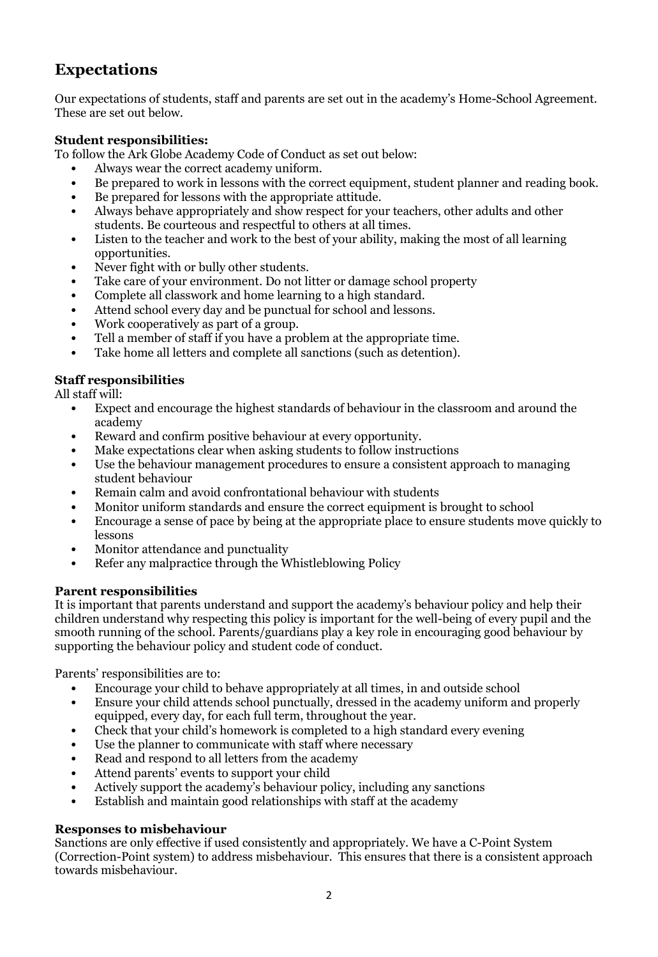## **Expectations**

Our expectations of students, staff and parents are set out in the academy's Home-School Agreement. These are set out below.

### **Student responsibilities:**

To follow the Ark Globe Academy Code of Conduct as set out below:

- Always wear the correct academy uniform.
- Be prepared to work in lessons with the correct equipment, student planner and reading book.
- Be prepared for lessons with the appropriate attitude.
- Always behave appropriately and show respect for your teachers, other adults and other students. Be courteous and respectful to others at all times.
- Listen to the teacher and work to the best of your ability, making the most of all learning opportunities.
- Never fight with or bully other students.
- Take care of your environment. Do not litter or damage school property
- Complete all classwork and home learning to a high standard.
- Attend school every day and be punctual for school and lessons.
- Work cooperatively as part of a group.
- Tell a member of staff if you have a problem at the appropriate time.
- Take home all letters and complete all sanctions (such as detention).

### **Staff responsibilities**

All staff will:

- Expect and encourage the highest standards of behaviour in the classroom and around the academy
- Reward and confirm positive behaviour at every opportunity.
- Make expectations clear when asking students to follow instructions
- Use the behaviour management procedures to ensure a consistent approach to managing student behaviour
- Remain calm and avoid confrontational behaviour with students
- Monitor uniform standards and ensure the correct equipment is brought to school
- Encourage a sense of pace by being at the appropriate place to ensure students move quickly to lessons
- Monitor attendance and punctuality
- Refer any malpractice through the Whistleblowing Policy

#### **Parent responsibilities**

It is important that parents understand and support the academy's behaviour policy and help their children understand why respecting this policy is important for the well-being of every pupil and the smooth running of the school. Parents/guardians play a key role in encouraging good behaviour by supporting the behaviour policy and student code of conduct.

Parents' responsibilities are to:

- Encourage your child to behave appropriately at all times, in and outside school
- Ensure your child attends school punctually, dressed in the academy uniform and properly equipped, every day, for each full term, throughout the year.
- Check that your child's homework is completed to a high standard every evening
- Use the planner to communicate with staff where necessary
- Read and respond to all letters from the academy
- Attend parents' events to support your child
- Actively support the academy's behaviour policy, including any sanctions
- Establish and maintain good relationships with staff at the academy

#### **Responses to misbehaviour**

Sanctions are only effective if used consistently and appropriately. We have a C-Point System (Correction-Point system) to address misbehaviour. This ensures that there is a consistent approach towards misbehaviour.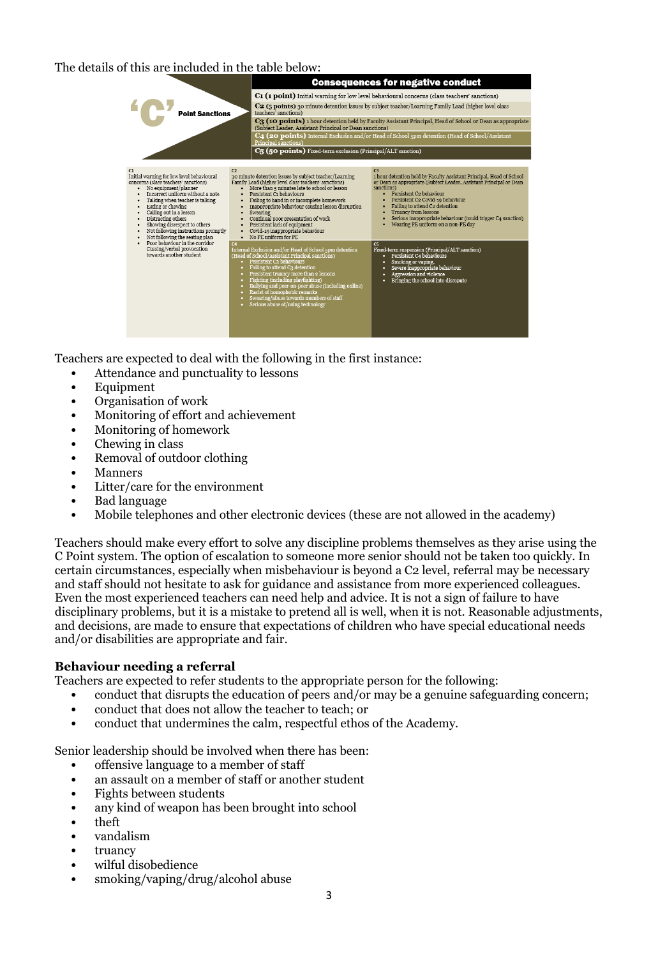The details of this are included in the table below:



Teachers are expected to deal with the following in the first instance:

- Attendance and punctuality to lessons
- Equipment
- Organisation of work
- Monitoring of effort and achievement
- Monitoring of homework
- Chewing in class
- Removal of outdoor clothing
- Manners
- Litter/care for the environment
- Bad language
- Mobile telephones and other electronic devices (these are not allowed in the academy)

Teachers should make every effort to solve any discipline problems themselves as they arise using the C Point system. The option of escalation to someone more senior should not be taken too quickly. In certain circumstances, especially when misbehaviour is beyond a C2 level, referral may be necessary and staff should not hesitate to ask for guidance and assistance from more experienced colleagues. Even the most experienced teachers can need help and advice. It is not a sign of failure to have disciplinary problems, but it is a mistake to pretend all is well, when it is not. Reasonable adjustments, and decisions, are made to ensure that expectations of children who have special educational needs and/or disabilities are appropriate and fair.

## **Behaviour needing a referral**

Teachers are expected to refer students to the appropriate person for the following:

- conduct that disrupts the education of peers and/or may be a genuine safeguarding concern;
- conduct that does not allow the teacher to teach; or
- conduct that undermines the calm, respectful ethos of the Academy.

Senior leadership should be involved when there has been:

- offensive language to a member of staff
- an assault on a member of staff or another student
- Fights between students
- any kind of weapon has been brought into school
- theft
- vandalism
- truancy
- wilful disobedience
- smoking/vaping/drug/alcohol abuse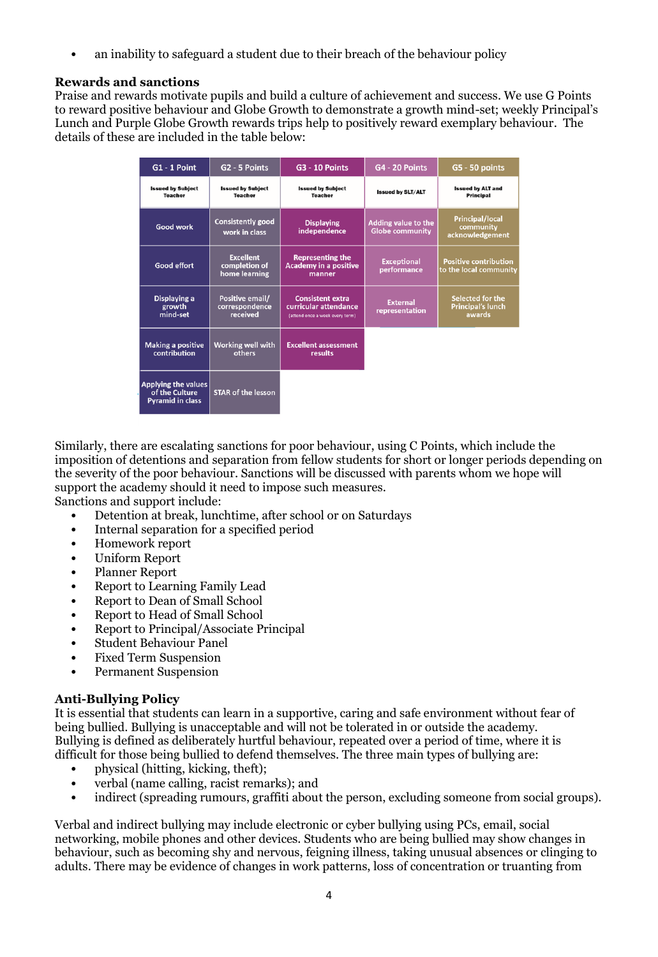an inability to safeguard a student due to their breach of the behaviour policy

### **Rewards and sanctions**

Praise and rewards motivate pupils and build a culture of achievement and success. We use G Points to reward positive behaviour and Globe Growth to demonstrate a growth mind-set; weekly Principal's Lunch and Purple Globe Growth rewards trips help to positively reward exemplary behaviour. The details of these are included in the table below:

| G1 - 1 Point                                                     | G <sub>2</sub> - 5 Points                          | <b>G3 - 10 Points</b>                                                               | <b>G4 - 20 Points</b>                                | G5 - 50 points                                         |
|------------------------------------------------------------------|----------------------------------------------------|-------------------------------------------------------------------------------------|------------------------------------------------------|--------------------------------------------------------|
| <b>Issued by Subject</b><br><b>Teacher</b>                       | <b>Issued by Subject</b><br><b>Teacher</b>         | <b>Issued by Subject</b><br><b>Teacher</b>                                          | <b>Issued by SLT/ALT</b>                             | <b>Issued by ALT and</b><br><b>Principal</b>           |
| <b>Good work</b>                                                 | <b>Consistently good</b><br>work in class          | <b>Displaying</b><br>independence                                                   | <b>Adding value to the</b><br><b>Globe community</b> | <b>Principal/local</b><br>community<br>acknowledgement |
| <b>Good effort</b>                                               | <b>Excellent</b><br>completion of<br>home learning | <b>Representing the</b><br><b>Academy in a positive</b><br>manner                   | <b>Exceptional</b><br>performance                    | <b>Positive contribution</b><br>to the local community |
| Displaying a<br>growth<br>mind-set                               | Positive email/<br>correspondence<br>received      | <b>Consistent extra</b><br>curricular attendance<br>(attend once a week every term) | <b>External</b><br>representation                    | Selected for the<br><b>Principal's lunch</b><br>awards |
| <b>Making a positive</b><br>contribution                         | <b>Working well with</b><br>others                 | <b>Excellent assessment</b><br>results                                              |                                                      |                                                        |
| Applying the values<br>of the Culture<br><b>Pyramid in class</b> | <b>STAR of the lesson</b>                          |                                                                                     |                                                      |                                                        |

Similarly, there are escalating sanctions for poor behaviour, using C Points, which include the imposition of detentions and separation from fellow students for short or longer periods depending on the severity of the poor behaviour. Sanctions will be discussed with parents whom we hope will support the academy should it need to impose such measures. Sanctions and support include:

• Detention at break, lunchtime, after school or on Saturdays

- Internal separation for a specified period
- Homework report
- Uniform Report
- Planner Report
- Report to Learning Family Lead
- Report to Dean of Small School
- Report to Head of Small School
- Report to Principal/Associate Principal
- Student Behaviour Panel
- Fixed Term Suspension
- Permanent Suspension

## **Anti-Bullying Policy**

It is essential that students can learn in a supportive, caring and safe environment without fear of being bullied. Bullying is unacceptable and will not be tolerated in or outside the academy. Bullying is defined as deliberately hurtful behaviour, repeated over a period of time, where it is difficult for those being bullied to defend themselves. The three main types of bullying are:

- physical (hitting, kicking, theft);
- verbal (name calling, racist remarks); and
- indirect (spreading rumours, graffiti about the person, excluding someone from social groups).

Verbal and indirect bullying may include electronic or cyber bullying using PCs, email, social networking, mobile phones and other devices. Students who are being bullied may show changes in behaviour, such as becoming shy and nervous, feigning illness, taking unusual absences or clinging to adults. There may be evidence of changes in work patterns, loss of concentration or truanting from